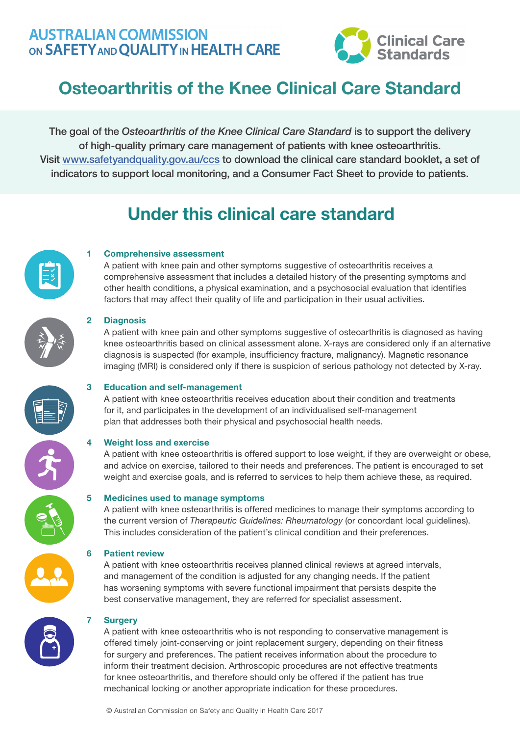### **AUSTRALIAN COMMISSION** ON SAFETY AND QUALITY IN HEALTH CARE



# Osteoarthritis of the Knee Clinical Care Standard

The goal of the *Osteoarthritis of the Knee Clinical Care Standard* is to support the delivery of high-quality primary care management of patients with knee osteoarthritis. Visit www.safetyandquality.gov.au/ccs to download the clinical care standard booklet, a set of indicators to support local monitoring, and a Consumer Fact Sheet to provide to patients.

## Under this clinical care standard



#### **1 Comprehensive assessment**

A patient with knee pain and other symptoms suggestive of osteoarthritis receives a comprehensive assessment that includes a detailed history of the presenting symptoms and other health conditions, a physical examination, and a psychosocial evaluation that identifies factors that may affect their quality of life and participation in their usual activities.

#### **2 Diagnosis**

A patient with knee pain and other symptoms suggestive of osteoarthritis is diagnosed as having knee osteoarthritis based on clinical assessment alone. X-rays are considered only if an alternative diagnosis is suspected (for example, insufficiency fracture, malignancy). Magnetic resonance imaging (MRI) is considered only if there is suspicion of serious pathology not detected by X-ray.

#### **3 Education and self-management**

A patient with knee osteoarthritis receives education about their condition and treatments for it, and participates in the development of an individualised self-management plan that addresses both their physical and psychosocial health needs.

#### **4 Weight loss and exercise**

A patient with knee osteoarthritis is offered support to lose weight, if they are overweight or obese, and advice on exercise, tailored to their needs and preferences. The patient is encouraged to set weight and exercise goals, and is referred to services to help them achieve these, as required.

#### **5 Medicines used to manage symptoms**

A patient with knee osteoarthritis is offered medicines to manage their symptoms according to the current version of *Therapeutic Guidelines: Rheumatology* (or concordant local guidelines). This includes consideration of the patient's clinical condition and their preferences.

#### **6 Patient review**

A patient with knee osteoarthritis receives planned clinical reviews at agreed intervals, and management of the condition is adjusted for any changing needs. If the patient has worsening symptoms with severe functional impairment that persists despite the best conservative management, they are referred for specialist assessment.

#### **7 Surgery**

A patient with knee osteoarthritis who is not responding to conservative management is offered timely joint-conserving or joint replacement surgery, depending on their fitness for surgery and preferences. The patient receives information about the procedure to inform their treatment decision. Arthroscopic procedures are not effective treatments for knee osteoarthritis, and therefore should only be offered if the patient has true mechanical locking or another appropriate indication for these procedures.